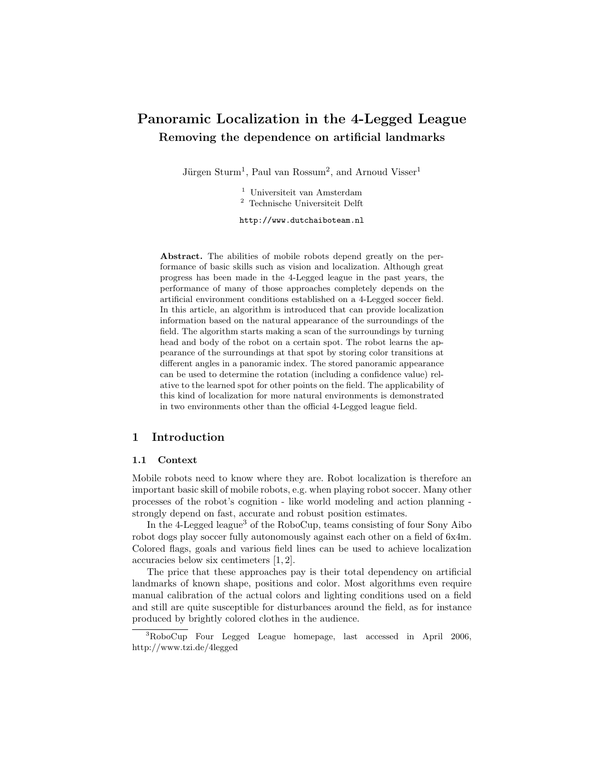# Panoramic Localization in the 4-Legged League Removing the dependence on artificial landmarks

Jürgen Sturm<sup>1</sup>, Paul van Rossum<sup>2</sup>, and Arnoud Visser<sup>1</sup>

<sup>1</sup> Universiteit van Amsterdam <sup>2</sup> Technische Universiteit Delft

http://www.dutchaiboteam.nl

Abstract. The abilities of mobile robots depend greatly on the performance of basic skills such as vision and localization. Although great progress has been made in the 4-Legged league in the past years, the performance of many of those approaches completely depends on the artificial environment conditions established on a 4-Legged soccer field. In this article, an algorithm is introduced that can provide localization information based on the natural appearance of the surroundings of the field. The algorithm starts making a scan of the surroundings by turning head and body of the robot on a certain spot. The robot learns the appearance of the surroundings at that spot by storing color transitions at different angles in a panoramic index. The stored panoramic appearance can be used to determine the rotation (including a confidence value) relative to the learned spot for other points on the field. The applicability of this kind of localization for more natural environments is demonstrated in two environments other than the official 4-Legged league field.

## 1 Introduction

#### 1.1 Context

Mobile robots need to know where they are. Robot localization is therefore an important basic skill of mobile robots, e.g. when playing robot soccer. Many other processes of the robot's cognition - like world modeling and action planning strongly depend on fast, accurate and robust position estimates.

In the 4-Legged league<sup>3</sup> of the RoboCup, teams consisting of four Sony Aibo robot dogs play soccer fully autonomously against each other on a field of 6x4m. Colored flags, goals and various field lines can be used to achieve localization accuracies below six centimeters [1, 2].

The price that these approaches pay is their total dependency on artificial landmarks of known shape, positions and color. Most algorithms even require manual calibration of the actual colors and lighting conditions used on a field and still are quite susceptible for disturbances around the field, as for instance produced by brightly colored clothes in the audience.

<sup>3</sup>RoboCup Four Legged League homepage, last accessed in April 2006, http://www.tzi.de/4legged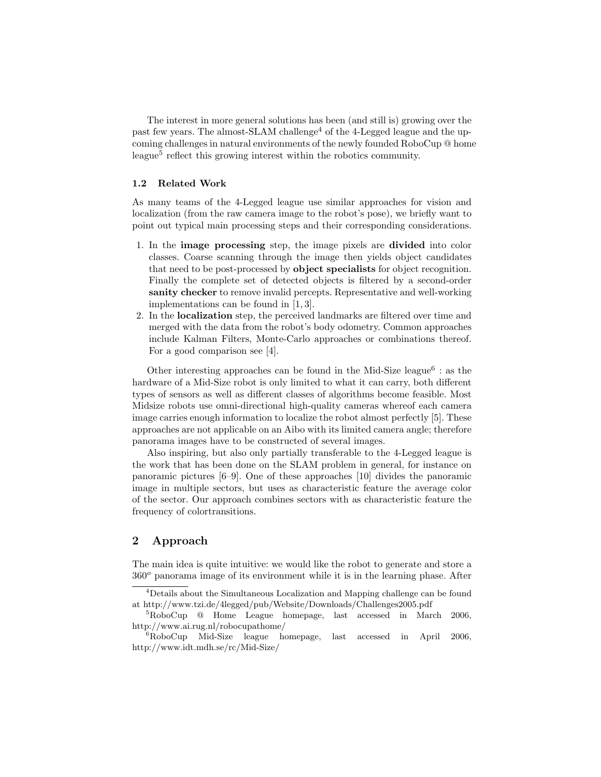The interest in more general solutions has been (and still is) growing over the past few years. The almost-SLAM challenge<sup>4</sup> of the 4-Legged league and the upcoming challenges in natural environments of the newly founded RoboCup @ home league<sup>5</sup> reflect this growing interest within the robotics community.

## 1.2 Related Work

As many teams of the 4-Legged league use similar approaches for vision and localization (from the raw camera image to the robot's pose), we briefly want to point out typical main processing steps and their corresponding considerations.

- 1. In the image processing step, the image pixels are divided into color classes. Coarse scanning through the image then yields object candidates that need to be post-processed by object specialists for object recognition. Finally the complete set of detected objects is filtered by a second-order sanity checker to remove invalid percepts. Representative and well-working implementations can be found in [1, 3].
- 2. In the localization step, the perceived landmarks are filtered over time and merged with the data from the robot's body odometry. Common approaches include Kalman Filters, Monte-Carlo approaches or combinations thereof. For a good comparison see [4].

Other interesting approaches can be found in the Mid-Size league<sup>6</sup> : as the hardware of a Mid-Size robot is only limited to what it can carry, both different types of sensors as well as different classes of algorithms become feasible. Most Midsize robots use omni-directional high-quality cameras whereof each camera image carries enough information to localize the robot almost perfectly [5]. These approaches are not applicable on an Aibo with its limited camera angle; therefore panorama images have to be constructed of several images.

Also inspiring, but also only partially transferable to the 4-Legged league is the work that has been done on the SLAM problem in general, for instance on panoramic pictures [6–9]. One of these approaches [10] divides the panoramic image in multiple sectors, but uses as characteristic feature the average color of the sector. Our approach combines sectors with as characteristic feature the frequency of colortransitions.

# 2 Approach

The main idea is quite intuitive: we would like the robot to generate and store a  $360^\circ$  panorama image of its environment while it is in the learning phase. After

<sup>4</sup>Details about the Simultaneous Localization and Mapping challenge can be found at http://www.tzi.de/4legged/pub/Website/Downloads/Challenges2005.pdf

<sup>5</sup>RoboCup @ Home League homepage, last accessed in March 2006, http://www.ai.rug.nl/robocupathome/

 ${}^{6}RoboCup$  Mid-Size league homepage, last accessed in April 2006, http://www.idt.mdh.se/rc/Mid-Size/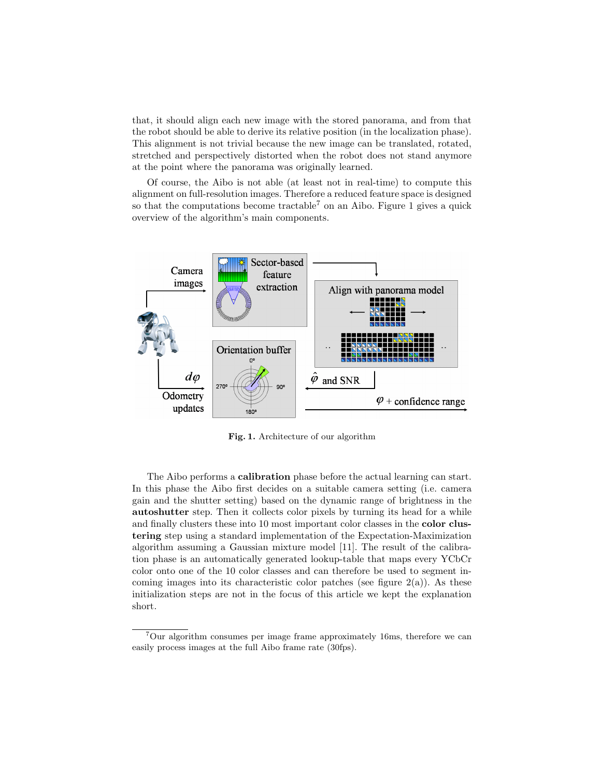that, it should align each new image with the stored panorama, and from that the robot should be able to derive its relative position (in the localization phase). This alignment is not trivial because the new image can be translated, rotated, stretched and perspectively distorted when the robot does not stand anymore at the point where the panorama was originally learned.

Of course, the Aibo is not able (at least not in real-time) to compute this alignment on full-resolution images. Therefore a reduced feature space is designed so that the computations become tractable<sup>7</sup> on an Aibo. Figure 1 gives a quick overview of the algorithm's main components.



Fig. 1. Architecture of our algorithm

The Aibo performs a calibration phase before the actual learning can start. In this phase the Aibo first decides on a suitable camera setting (i.e. camera gain and the shutter setting) based on the dynamic range of brightness in the autoshutter step. Then it collects color pixels by turning its head for a while and finally clusters these into 10 most important color classes in the color clustering step using a standard implementation of the Expectation-Maximization algorithm assuming a Gaussian mixture model [11]. The result of the calibration phase is an automatically generated lookup-table that maps every YCbCr color onto one of the 10 color classes and can therefore be used to segment incoming images into its characteristic color patches (see figure  $2(a)$ ). As these initialization steps are not in the focus of this article we kept the explanation short.

 ${}^{7}$ Our algorithm consumes per image frame approximately 16ms, therefore we can easily process images at the full Aibo frame rate (30fps).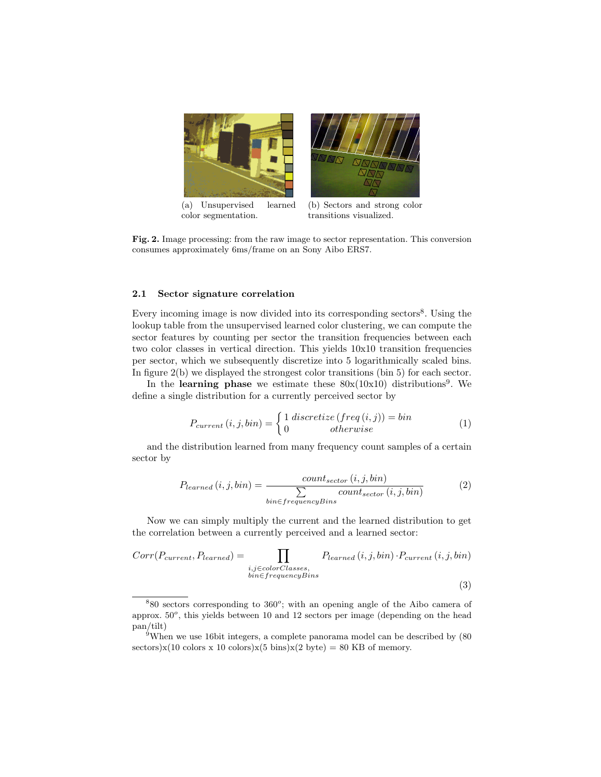

Fig. 2. Image processing: from the raw image to sector representation. This conversion consumes approximately 6ms/frame on an Sony Aibo ERS7.

#### 2.1 Sector signature correlation

Every incoming image is now divided into its corresponding sectors<sup>8</sup>. Using the lookup table from the unsupervised learned color clustering, we can compute the sector features by counting per sector the transition frequencies between each two color classes in vertical direction. This yields 10x10 transition frequencies per sector, which we subsequently discretize into 5 logarithmically scaled bins. In figure 2(b) we displayed the strongest color transitions (bin 5) for each sector.

In the learning phase we estimate these  $80x(10x10)$  distributions<sup>9</sup>. We define a single distribution for a currently perceived sector by

$$
P_{current}(i, j, bin) = \begin{cases} 1 \, discreteize (freq(i, j)) = bin \\ 0 \qquad otherwise \end{cases} \tag{1}
$$

and the distribution learned from many frequency count samples of a certain sector by

$$
P_{learned}(i, j, bin) = \frac{count_{sector}(i, j, bin)}{\sum_{bin \in frequencyBins} count_{sector}(i, j, bin)}
$$
(2)

Now we can simply multiply the current and the learned distribution to get the correlation between a currently perceived and a learned sector:

$$
Corr(P_{current}, P_{learned}) = \prod_{\substack{i,j \in colorClasses, \\ bin \in frequencyBins}} P_{learned}(i,j,bin) \cdot P_{current}(i,j,bin)
$$
\n
$$
(3)
$$

 $880$  sectors corresponding to  $360^\circ$ ; with an opening angle of the Aibo camera of approx.  $50^{\circ}$ , this yields between 10 and 12 sectors per image (depending on the head pan/tilt)

 $9$ When we use 16bit integers, a complete panorama model can be described by (80) sectors)x(10 colors x 10 colors)x(5 bins)x(2 byte) = 80 KB of memory.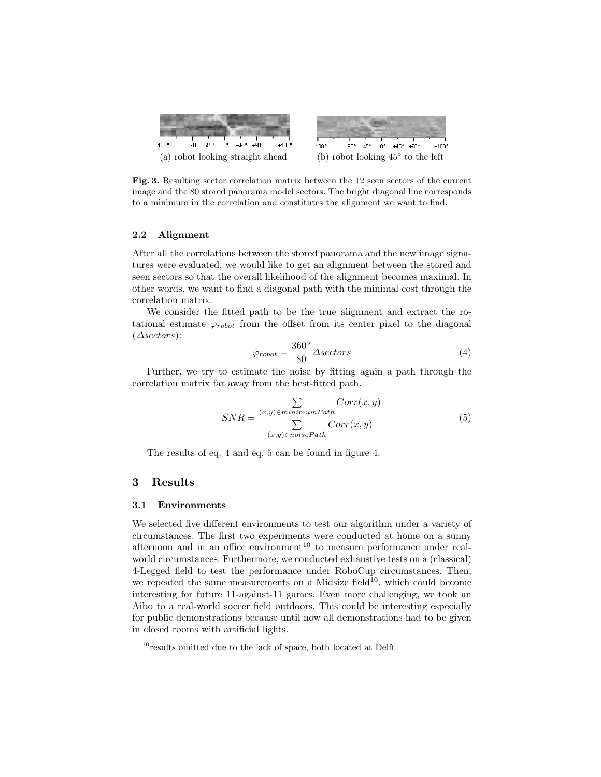

Fig. 3. Resulting sector correlation matrix between the 12 seen sectors of the current image and the 80 stored panorama model sectors. The bright diagonal line corresponds to a minimum in the correlation and constitutes the alignment we want to find.

#### 2.2 Alignment

After all the correlations between the stored panorama and the new image signatures were evaluated, we would like to get an alignment between the stored and seen sectors so that the overall likelihood of the alignment becomes maximal. In other words, we want to find a diagonal path with the minimal cost through the correlation matrix.

We consider the fitted path to be the true alignment and extract the rotational estimate  $\varphi_{robot}$  from the offset from its center pixel to the diagonal (∆sectors):

$$
\hat{\varphi}_{robot} = \frac{360^{\circ}}{80} \Delta sectors \tag{4}
$$

Further, we try to estimate the noise by fitting again a path through the correlation matrix far away from the best-fitted path.

$$
SNR = \frac{\sum\limits_{(x,y)\in minimumPath}Corr(x,y)}{\sum\limits_{(x,y)\in noisePath}Corr(x,y)}
$$
(5)

The results of eq. 4 and eq. 5 can be found in figure 4.

## 3 Results

#### 3.1 Environments

We selected five different environments to test our algorithm under a variety of circumstances. The first two experiments were conducted at home on a sunny afternoon and in an office environment<sup>10</sup> to measure performance under realworld circumstances. Furthermore, we conducted exhaustive tests on a (classical) 4-Legged field to test the performance under RoboCup circumstances. Then, we repeated the same measurements on a Midsize field<sup>10</sup>, which could become interesting for future 11-against-11 games. Even more challenging, we took an Aibo to a real-world soccer field outdoors. This could be interesting especially for public demonstrations because until now all demonstrations had to be given in closed rooms with artificial lights.

 $10$ <sub>results</sub> omitted due to the lack of space, both located at Delft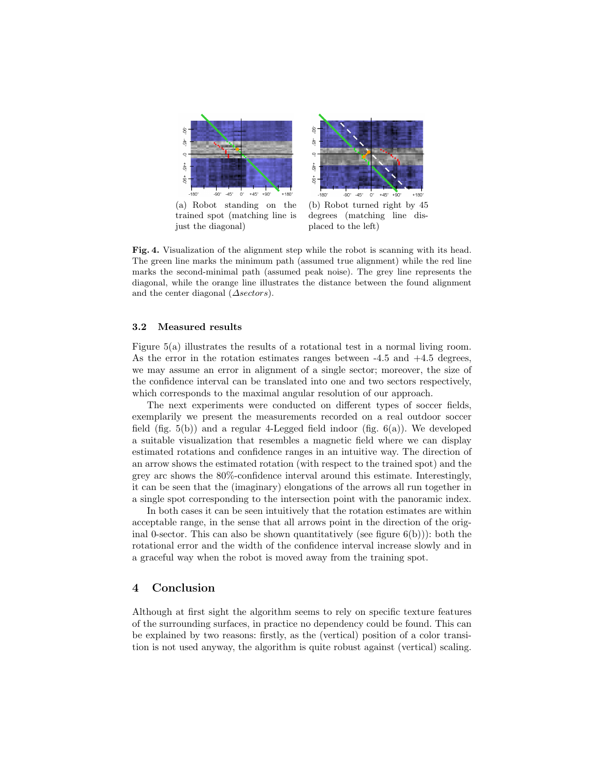

just the diagonal)

(b) Robot turned right by 45 degrees (matching line displaced to the left)

Fig. 4. Visualization of the alignment step while the robot is scanning with its head. The green line marks the minimum path (assumed true alignment) while the red line marks the second-minimal path (assumed peak noise). The grey line represents the diagonal, while the orange line illustrates the distance between the found alignment and the center diagonal  $(\triangle sectors)$ .

## 3.2 Measured results

Figure 5(a) illustrates the results of a rotational test in a normal living room. As the error in the rotation estimates ranges between -4.5 and +4.5 degrees, we may assume an error in alignment of a single sector; moreover, the size of the confidence interval can be translated into one and two sectors respectively, which corresponds to the maximal angular resolution of our approach.

The next experiments were conducted on different types of soccer fields, exemplarily we present the measurements recorded on a real outdoor soccer field (fig.  $5(b)$ ) and a regular 4-Legged field indoor (fig.  $6(a)$ ). We developed a suitable visualization that resembles a magnetic field where we can display estimated rotations and confidence ranges in an intuitive way. The direction of an arrow shows the estimated rotation (with respect to the trained spot) and the grey arc shows the 80%-confidence interval around this estimate. Interestingly, it can be seen that the (imaginary) elongations of the arrows all run together in a single spot corresponding to the intersection point with the panoramic index.

In both cases it can be seen intuitively that the rotation estimates are within acceptable range, in the sense that all arrows point in the direction of the original 0-sector. This can also be shown quantitatively (see figure  $6(b)$ )): both the rotational error and the width of the confidence interval increase slowly and in a graceful way when the robot is moved away from the training spot.

# 4 Conclusion

Although at first sight the algorithm seems to rely on specific texture features of the surrounding surfaces, in practice no dependency could be found. This can be explained by two reasons: firstly, as the (vertical) position of a color transition is not used anyway, the algorithm is quite robust against (vertical) scaling.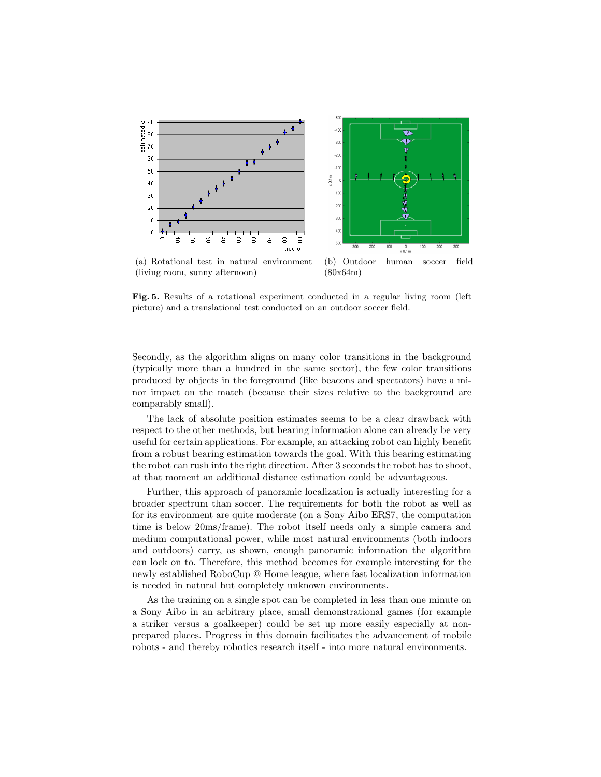

Fig. 5. Results of a rotational experiment conducted in a regular living room (left picture) and a translational test conducted on an outdoor soccer field.

Secondly, as the algorithm aligns on many color transitions in the background (typically more than a hundred in the same sector), the few color transitions produced by objects in the foreground (like beacons and spectators) have a minor impact on the match (because their sizes relative to the background are comparably small).

The lack of absolute position estimates seems to be a clear drawback with respect to the other methods, but bearing information alone can already be very useful for certain applications. For example, an attacking robot can highly benefit from a robust bearing estimation towards the goal. With this bearing estimating the robot can rush into the right direction. After 3 seconds the robot has to shoot, at that moment an additional distance estimation could be advantageous.

Further, this approach of panoramic localization is actually interesting for a broader spectrum than soccer. The requirements for both the robot as well as for its environment are quite moderate (on a Sony Aibo ERS7, the computation time is below 20ms/frame). The robot itself needs only a simple camera and medium computational power, while most natural environments (both indoors and outdoors) carry, as shown, enough panoramic information the algorithm can lock on to. Therefore, this method becomes for example interesting for the newly established RoboCup @ Home league, where fast localization information is needed in natural but completely unknown environments.

As the training on a single spot can be completed in less than one minute on a Sony Aibo in an arbitrary place, small demonstrational games (for example a striker versus a goalkeeper) could be set up more easily especially at nonprepared places. Progress in this domain facilitates the advancement of mobile robots - and thereby robotics research itself - into more natural environments.